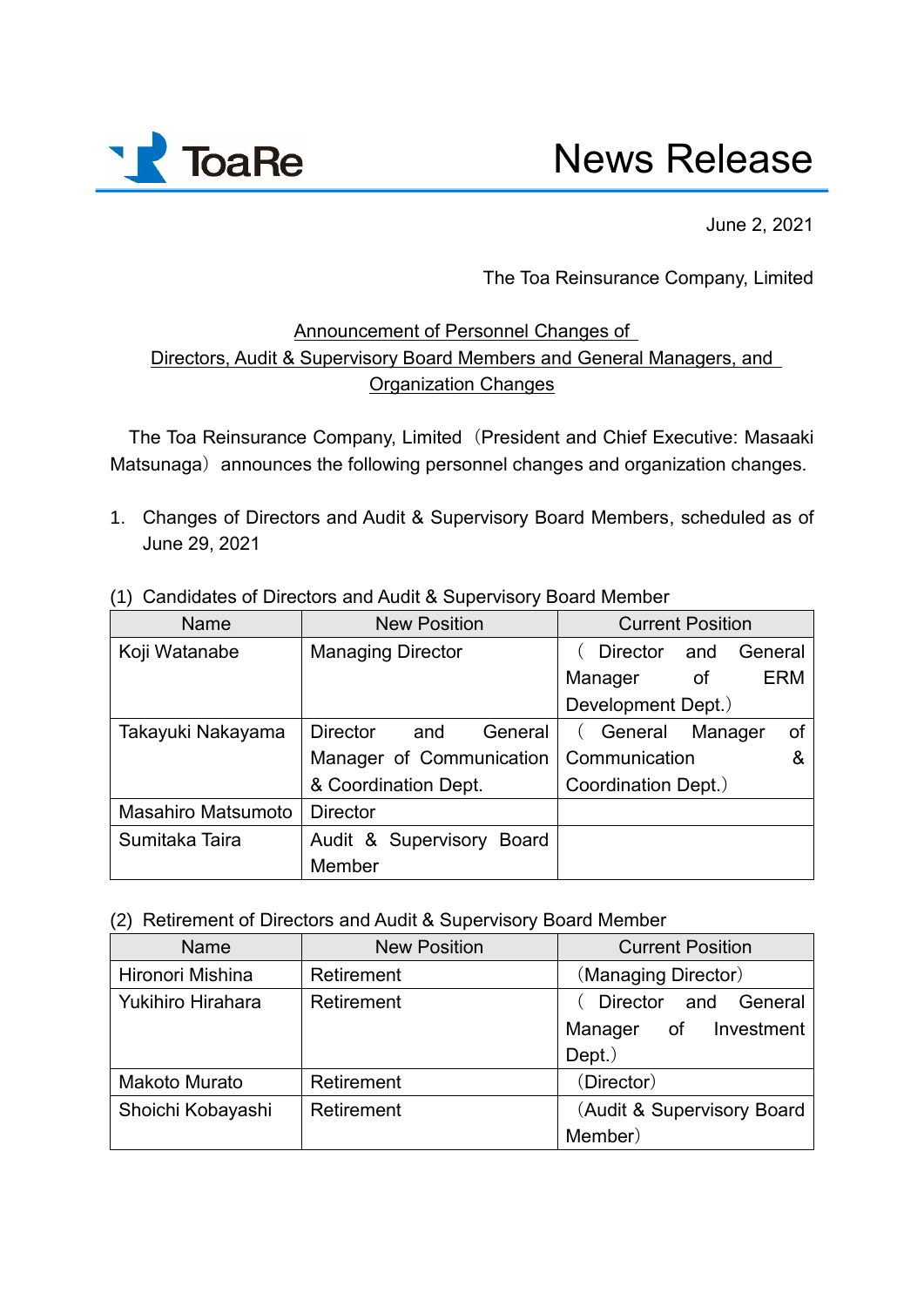

## News Release

June 2, 2021

The Toa Reinsurance Company, Limited

## Announcement of Personnel Changes of Directors, Audit & Supervisory Board Members and General Managers, and Organization Changes

The Toa Reinsurance Company, Limited(President and Chief Executive: Masaaki Matsunaga) announces the following personnel changes and organization changes.

1. Changes of Directors and Audit & Supervisory Board Members, scheduled as of June 29, 2021

| Name                      | <b>New Position</b>               | <b>Current Position</b>           |
|---------------------------|-----------------------------------|-----------------------------------|
| Koji Watanabe             | <b>Managing Director</b>          | General<br><b>Director</b><br>and |
|                           |                                   | <b>ERM</b><br>of<br>Manager       |
|                           |                                   | Development Dept.)                |
| Takayuki Nakayama         | <b>Director</b><br>and<br>General | Manager<br>General<br>0f          |
|                           | Manager of Communication          | Communication<br>&                |
|                           | & Coordination Dept.              | Coordination Dept.)               |
| <b>Masahiro Matsumoto</b> | <b>Director</b>                   |                                   |
| Sumitaka Taira            | Audit & Supervisory Board         |                                   |
|                           | Member                            |                                   |

(1) Candidates of Directors and Audit & Supervisory Board Member

(2) Retirement of Directors and Audit & Supervisory Board Member

| <b>Name</b>              | <b>New Position</b> | <b>Current Position</b>    |
|--------------------------|---------------------|----------------------------|
| Hironori Mishina         | Retirement          | (Managing Director)        |
| <b>Yukihiro Hirahara</b> | Retirement          | Director and General       |
|                          |                     | of Investment<br>Manager   |
|                          |                     | $Depth.$ )                 |
| <b>Makoto Murato</b>     | Retirement          | (Director)                 |
| Shoichi Kobayashi        | Retirement          | (Audit & Supervisory Board |
|                          |                     | Member)                    |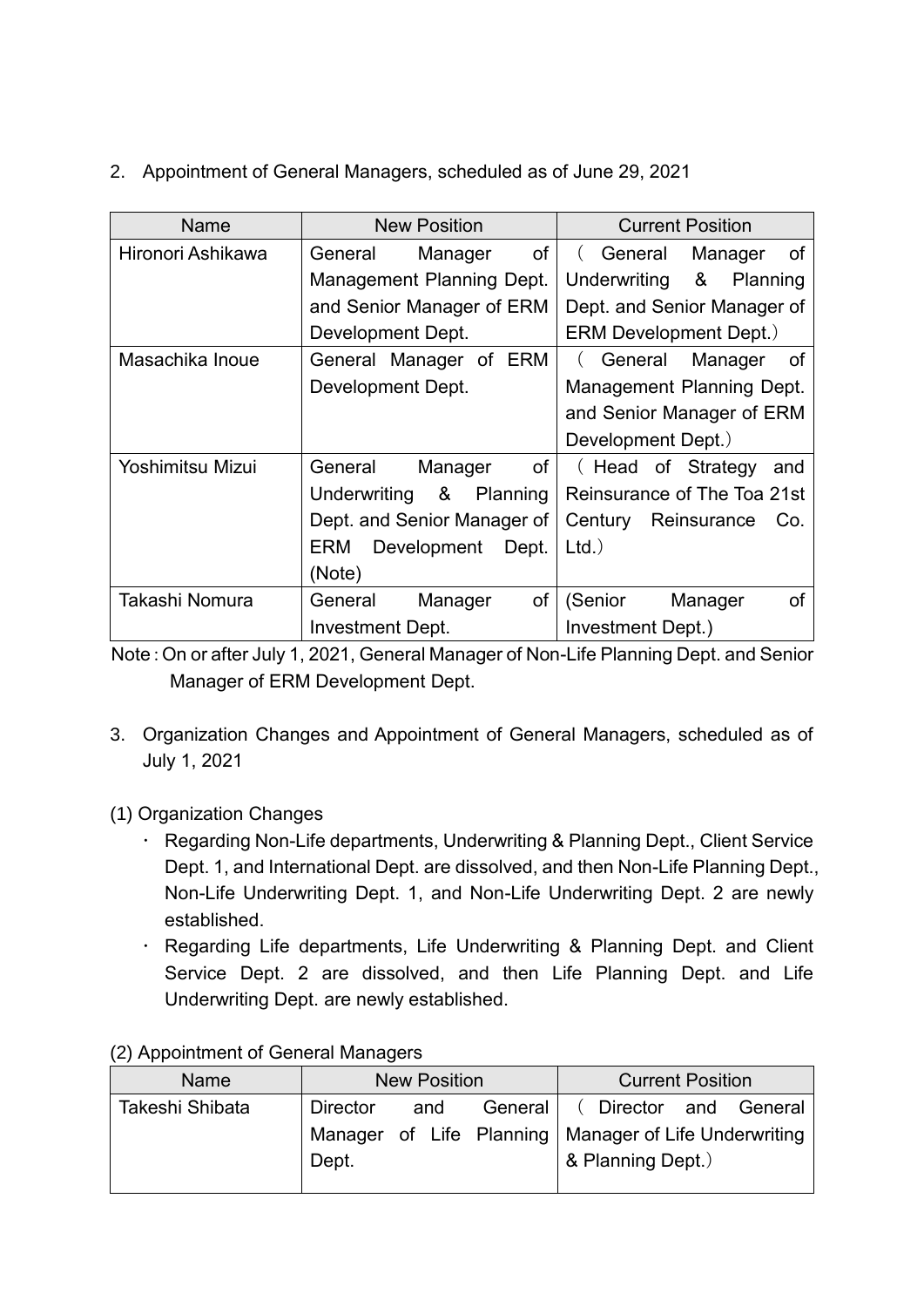2. Appointment of General Managers, scheduled as of June 29, 2021

| Name              | <b>New Position</b>         | <b>Current Position</b>       |
|-------------------|-----------------------------|-------------------------------|
| Hironori Ashikawa | of<br>General<br>Manager    | General<br>Manager<br>of      |
|                   | Management Planning Dept.   | &<br>Underwriting<br>Planning |
|                   | and Senior Manager of ERM   | Dept. and Senior Manager of   |
|                   | Development Dept.           | ERM Development Dept.)        |
| Masachika Inoue   | General Manager of ERM      | General<br>Manager<br>of      |
|                   | Development Dept.           | Management Planning Dept.     |
|                   |                             | and Senior Manager of ERM     |
|                   |                             | Development Dept.)            |
| Yoshimitsu Mizui  | of<br>General<br>Manager    | (Head of Strategy<br>and      |
|                   | Underwriting<br>& Planning  | Reinsurance of The Toa 21st   |
|                   | Dept. and Senior Manager of | Reinsurance<br>Century<br>Co. |
|                   | ERM<br>Development<br>Dept. | $Ltd.$ )                      |
|                   | (Note)                      |                               |
| Takashi Nomura    | of<br>General<br>Manager    | (Senior<br>Manager<br>οf      |
|                   | Investment Dept.            | Investment Dept.)             |

Note:On or after July 1, 2021, General Manager of Non-Life Planning Dept. and Senior Manager of ERM Development Dept.

- 3. Organization Changes and Appointment of General Managers, scheduled as of July 1, 2021
- (1) Organization Changes
	- Regarding Non-Life departments, Underwriting & Planning Dept., Client Service Dept. 1, and International Dept. are dissolved, and then Non-Life Planning Dept., Non-Life Underwriting Dept. 1, and Non-Life Underwriting Dept. 2 are newly established.
	- Regarding Life departments, Life Underwriting & Planning Dept. and Client Service Dept. 2 are dissolved, and then Life Planning Dept. and Life Underwriting Dept. are newly established.

| Name            | <b>New Position</b> |     |         | <b>Current Position</b>                                                      |
|-----------------|---------------------|-----|---------|------------------------------------------------------------------------------|
| Takeshi Shibata | <b>Director</b>     | and | General | Director and General                                                         |
|                 | Dept.               |     |         | Manager of Life Planning   Manager of Life Underwriting<br>& Planning Dept.) |

## (2) Appointment of General Managers